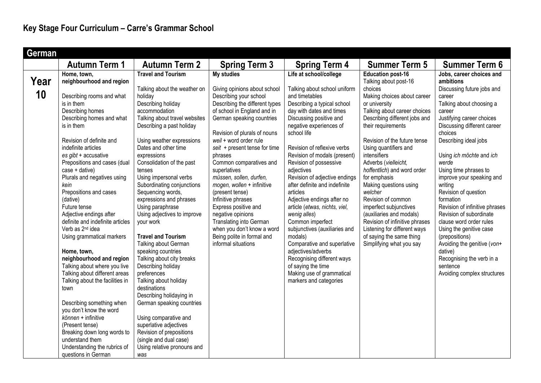| German |                                  |                                                 |                                           |                                               |                                                    |                                                           |
|--------|----------------------------------|-------------------------------------------------|-------------------------------------------|-----------------------------------------------|----------------------------------------------------|-----------------------------------------------------------|
|        | <b>Autumn Term 1</b>             | <b>Autumn Term 2</b>                            | <b>Spring Term 3</b>                      | <b>Spring Term 4</b>                          | <b>Summer Term 5</b>                               | <b>Summer Term 6</b>                                      |
|        | Home, town,                      | <b>Travel and Tourism</b>                       | <b>My studies</b>                         | Life at school/college                        | <b>Education post-16</b>                           | Jobs, career choices and                                  |
| Year   | neighbourhood and region         |                                                 |                                           |                                               | Talking about post-16                              | ambitions                                                 |
|        |                                  | Talking about the weather on                    | Giving opinions about school              | Talking about school uniform                  | choices                                            | Discussing future jobs and                                |
| 10     | Describing rooms and what        | holiday                                         | Describing your school                    | and timetables                                | Making choices about career                        | career                                                    |
|        | is in them                       | Describing holiday                              | Describing the different types            | Describing a typical school                   | or university                                      | Talking about choosing a                                  |
|        | Describing homes                 | accommodation                                   | of school in England and in               | day with dates and times                      | Talking about career choices                       | career                                                    |
|        | Describing homes and what        | Talking about travel websites                   | German speaking countries                 | Discussing positive and                       | Describing different jobs and                      | Justifying career choices                                 |
|        | is in them                       | Describing a past holiday                       |                                           | negative experiences of                       | their requirements                                 | Discussing different career                               |
|        |                                  |                                                 | Revision of plurals of nouns              | school life                                   |                                                    | choices                                                   |
|        | Revision of definite and         | Using weather expressions                       | weil + word order rule                    |                                               | Revision of the future tense                       | Describing ideal jobs                                     |
|        | indefinite articles              | Dates and other time                            | seit + present tense for time             | Revision of reflexive verbs                   | Using quantifiers and                              |                                                           |
|        | es gibt + accusative             | expressions                                     | phrases                                   | Revision of modals (present)                  | intensifiers                                       | Using ich möchte and ich                                  |
|        | Prepositions and cases (dual     | Consolidation of the past                       | Common comparatives and                   | Revision of possessive                        | Adverbs (vielleicht,                               | werde                                                     |
|        | $case + dative)$                 | tenses                                          | superlatives                              | adjectives                                    | hoffentlich) and word order                        | Using time phrases to                                     |
|        | Plurals and negatives using      | Using impersonal verbs                          | müssen, sollen, durfen,                   | Revision of adjective endings                 | for emphasis                                       | improve your speaking and                                 |
|        | kein                             | Subordinating conjunctions                      | mogen, wollen + infinitive                | after definite and indefinite                 | Making questions using                             | writing                                                   |
|        | Prepositions and cases           | Sequencing words,                               | (present tense)                           | articles                                      | welcher<br>Revision of common                      | Revision of question                                      |
|        | (dative)<br>Future tense         | expressions and phrases                         | Infinitive phrases                        | Adjective endings after no                    |                                                    | formation                                                 |
|        | Adjective endings after          | Using paraphrase<br>Using adjectives to improve | Express positive and<br>negative opinions | article (etwas, nichts, viel,<br>wenig alles) | imperfect subjunctives<br>(auxiliaries and modals) | Revision of infinitive phrases<br>Revision of subordinate |
|        | definite and indefinite articles | your work                                       | Translating into German                   | Common imperfect                              | Revision of infinitive phrases                     | clause word order rules                                   |
|        | Verb as 2 <sup>nd</sup> idea     |                                                 | when you don't know a word                | subjunctives (auxiliaries and                 | Listening for different ways                       | Using the genitive case                                   |
|        | Using grammatical markers        | <b>Travel and Tourism</b>                       | Being polite in formal and                | modals)                                       | of saying the same thing                           | (prepositions)                                            |
|        |                                  | Talking about German                            | informal situations                       | Comparative and superlative                   | Simplifying what you say                           | Avoiding the genitive (von+                               |
|        | Home, town,                      | speaking countries                              |                                           | adjectives/adverbs                            |                                                    | dative)                                                   |
|        | neighbourhood and region         | Talking about city breaks                       |                                           | Recognising different ways                    |                                                    | Recognising the verb in a                                 |
|        | Talking about where you live     | Describing holiday                              |                                           | of saying the time                            |                                                    | sentence                                                  |
|        | Talking about different areas    | preferences                                     |                                           | Making use of grammatical                     |                                                    | Avoiding complex structures                               |
|        | Talking about the facilities in  | Talking about holiday                           |                                           | markers and categories                        |                                                    |                                                           |
|        | town                             | destinations                                    |                                           |                                               |                                                    |                                                           |
|        |                                  | Describing holidaying in                        |                                           |                                               |                                                    |                                                           |
|        | Describing something when        | German speaking countries                       |                                           |                                               |                                                    |                                                           |
|        | you don't know the word          |                                                 |                                           |                                               |                                                    |                                                           |
|        | $können + infinite$              | Using comparative and                           |                                           |                                               |                                                    |                                                           |
|        | (Present tense)                  | superlative adjectives                          |                                           |                                               |                                                    |                                                           |
|        | Breaking down long words to      | Revision of prepositions                        |                                           |                                               |                                                    |                                                           |
|        | understand them                  | (single and dual case)                          |                                           |                                               |                                                    |                                                           |
|        | Understanding the rubrics of     | Using relative pronouns and                     |                                           |                                               |                                                    |                                                           |
|        | questions in German              | was                                             |                                           |                                               |                                                    |                                                           |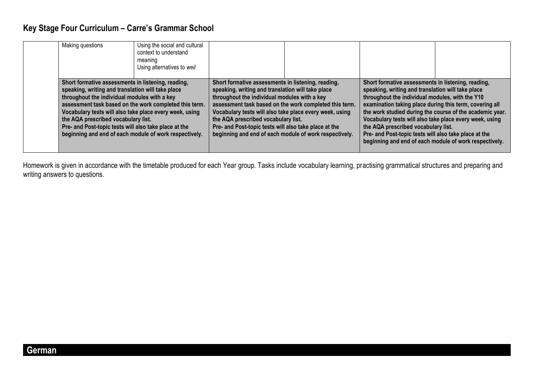## **Key Stage Four Curriculum – Carre's Grammar School**

| Making questions                                                                                                                                                                                                                                                                                                                                                                                                                       | Using the social and cultural<br>context to understand<br>meaning<br>Using alternatives to weil |                                                                                                                                                                                                                                                                                                                                                                                                                                        |  |                                                                                                                                                                                                                                                                                                                                                                                                                                                                                                        |  |
|----------------------------------------------------------------------------------------------------------------------------------------------------------------------------------------------------------------------------------------------------------------------------------------------------------------------------------------------------------------------------------------------------------------------------------------|-------------------------------------------------------------------------------------------------|----------------------------------------------------------------------------------------------------------------------------------------------------------------------------------------------------------------------------------------------------------------------------------------------------------------------------------------------------------------------------------------------------------------------------------------|--|--------------------------------------------------------------------------------------------------------------------------------------------------------------------------------------------------------------------------------------------------------------------------------------------------------------------------------------------------------------------------------------------------------------------------------------------------------------------------------------------------------|--|
| Short formative assessments in listening, reading,<br>speaking, writing and translation will take place<br>throughout the individual modules with a key<br>assessment task based on the work completed this term.<br>Vocabulary tests will also take place every week, using<br>the AQA prescribed vocabulary list.<br>Pre- and Post-topic tests will also take place at the<br>beginning and end of each module of work respectively. |                                                                                                 | Short formative assessments in listening, reading,<br>speaking, writing and translation will take place<br>throughout the individual modules with a key<br>assessment task based on the work completed this term.<br>Vocabulary tests will also take place every week, using<br>the AQA prescribed vocabulary list.<br>Pre- and Post-topic tests will also take place at the<br>beginning and end of each module of work respectively. |  | Short formative assessments in listening, reading,<br>speaking, writing and translation will take place<br>throughout the individual modules, with the Y10<br>examination taking place during this term, covering all<br>the work studied during the course of the academic year.<br>Vocabulary tests will also take place every week, using<br>the AQA prescribed vocabulary list.<br>Pre- and Post-topic tests will also take place at the<br>beginning and end of each module of work respectively. |  |

Homework is given in accordance with the timetable produced for each Year group. Tasks include vocabulary learning, practising grammatical structures and preparing and writing answers to questions.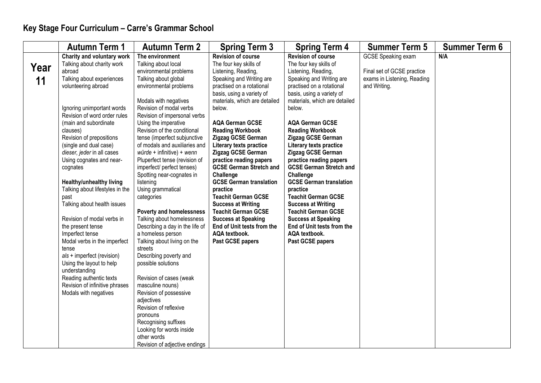|      | <b>Autumn Term 1</b>                                   | <b>Autumn Term 2</b>                                | <b>Spring Term 3</b>                              | <b>Spring Term 4</b>                              | <b>Summer Term 5</b>        | <b>Summer Term 6</b> |
|------|--------------------------------------------------------|-----------------------------------------------------|---------------------------------------------------|---------------------------------------------------|-----------------------------|----------------------|
|      | Charity and voluntary work                             | The environment                                     | <b>Revision of course</b>                         | <b>Revision of course</b>                         | <b>GCSE Speaking exam</b>   | N/A                  |
| Year | Talking about charity work                             | Talking about local                                 | The four key skills of                            | The four key skills of                            |                             |                      |
|      | abroad                                                 | environmental problems                              | Listening, Reading,                               | Listening, Reading,                               | Final set of GCSE practice  |                      |
| 11   | Talking about experiences                              | Talking about global                                | Speaking and Writing are                          | Speaking and Writing are                          | exams in Listening, Reading |                      |
|      | volunteering abroad                                    | environmental problems                              | practised on a rotational                         | practised on a rotational                         | and Writing.                |                      |
|      |                                                        |                                                     | basis, using a variety of                         | basis, using a variety of                         |                             |                      |
|      |                                                        | Modals with negatives                               | materials, which are detailed                     | materials, which are detailed                     |                             |                      |
|      | Ignoring unimportant words                             | Revision of modal verbs                             | below.                                            | below.                                            |                             |                      |
|      | Revision of word order rules                           | Revision of impersonal verbs                        |                                                   |                                                   |                             |                      |
|      | (main and subordinate                                  | Using the imperative<br>Revision of the conditional | <b>AQA German GCSE</b><br><b>Reading Workbook</b> | <b>AQA German GCSE</b><br><b>Reading Workbook</b> |                             |                      |
|      | clauses)<br>Revision of prepositions                   | tense (imperfect subjunctive                        | Zigzag GCSE German                                | Zigzag GCSE German                                |                             |                      |
|      | (single and dual case)                                 | of modals and auxiliaries and                       | Literary texts practice                           | Literary texts practice                           |                             |                      |
|      | dieser, jeder in all cases                             | $würde + infinite) + wenn$                          | Zigzag GCSE German                                | Zigzag GCSE German                                |                             |                      |
|      | Using cognates and near-                               | Pluperfect tense (revision of                       | practice reading papers                           | practice reading papers                           |                             |                      |
|      | cognates                                               | imperfect/ perfect tenses)                          | <b>GCSE German Stretch and</b>                    | <b>GCSE German Stretch and</b>                    |                             |                      |
|      |                                                        | Spotting near-cognates in                           | Challenge                                         | Challenge                                         |                             |                      |
|      | <b>Healthy/unhealthy living</b>                        | listening                                           | <b>GCSE German translation</b>                    | <b>GCSE German translation</b>                    |                             |                      |
|      | Talking about lifestyles in the                        | Using grammatical                                   | practice                                          | practice                                          |                             |                      |
|      | past                                                   | categories                                          | <b>Teachit German GCSE</b>                        | <b>Teachit German GCSE</b>                        |                             |                      |
|      | Talking about health issues                            |                                                     | <b>Success at Writing</b>                         | <b>Success at Writing</b>                         |                             |                      |
|      |                                                        | Poverty and homelessness                            | <b>Teachit German GCSE</b>                        | <b>Teachit German GCSE</b>                        |                             |                      |
|      | Revision of modal verbs in                             | Talking about homelessness                          | <b>Success at Speaking</b>                        | <b>Success at Speaking</b>                        |                             |                      |
|      | the present tense                                      | Describing a day in the life of                     | End of Unit tests from the                        | End of Unit tests from the                        |                             |                      |
|      | Imperfect tense                                        | a homeless person                                   | AQA textbook.                                     | AQA textbook.                                     |                             |                      |
|      | Modal verbs in the imperfect                           | Talking about living on the                         | Past GCSE papers                                  | Past GCSE papers                                  |                             |                      |
|      | tense                                                  | streets                                             |                                                   |                                                   |                             |                      |
|      | als + imperfect (revision)<br>Using the layout to help | Describing poverty and<br>possible solutions        |                                                   |                                                   |                             |                      |
|      | understanding                                          |                                                     |                                                   |                                                   |                             |                      |
|      | Reading authentic texts                                | Revision of cases (weak                             |                                                   |                                                   |                             |                      |
|      | Revision of infinitive phrases                         | masculine nouns)                                    |                                                   |                                                   |                             |                      |
|      | Modals with negatives                                  | Revision of possessive                              |                                                   |                                                   |                             |                      |
|      |                                                        | adjectives                                          |                                                   |                                                   |                             |                      |
|      |                                                        | Revision of reflexive                               |                                                   |                                                   |                             |                      |
|      |                                                        | pronouns                                            |                                                   |                                                   |                             |                      |
|      |                                                        | Recognising suffixes                                |                                                   |                                                   |                             |                      |
|      |                                                        | Looking for words inside                            |                                                   |                                                   |                             |                      |
|      |                                                        | other words                                         |                                                   |                                                   |                             |                      |
|      |                                                        | Revision of adjective endings                       |                                                   |                                                   |                             |                      |